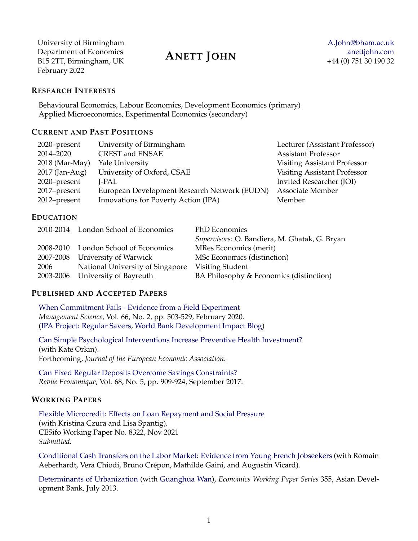University of Birmingham Department of Economics [anettjohn.com](http://anettjohn.com) B15 2TT, Birmingham, UK  $\overline{X}$ February 2022

# **ANETT JOHN**

#### **RESEARCH INTERESTS**

Behavioural Economics, Labour Economics, Development Economics (primary) Applied Microeconomics, Experimental Economics (secondary)

# **CURRENT AND PAST POSITIONS**

| 2020–present     | University of Birmingham                     | Lecturer (Assistant Professor)      |
|------------------|----------------------------------------------|-------------------------------------|
| 2014-2020        | CREST and ENSAE                              | <b>Assistant Professor</b>          |
| $2018$ (Mar-May) | Yale University                              | Visiting Assistant Professor        |
| 2017 (Jan-Aug)   | University of Oxford, CSAE                   | <b>Visiting Assistant Professor</b> |
| 2020–present     | J-PAL                                        | Invited Researcher (JOI)            |
| 2017–present     | European Development Research Network (EUDN) | Associate Member                    |
| 2012–present     | Innovations for Poverty Action (IPA)         | Member                              |

#### **EDUCATION**

|      | 2010-2014 London School of Economics | PhD Economics                                 |
|------|--------------------------------------|-----------------------------------------------|
|      |                                      | Supervisors: O. Bandiera, M. Ghatak, G. Bryan |
|      | 2008-2010 London School of Economics | MRes Economics (merit)                        |
|      | 2007-2008 University of Warwick      | MSc Economics (distinction)                   |
| 2006 | National University of Singapore     | Visiting Student                              |
|      | 2003-2006 University of Bayreuth     | BA Philosophy & Economics (distinction)       |

### **PUBLISHED AND ACCEPTED PAPERS**

[When Commitment Fails - Evidence from a Field Experiment](https://doi.org/10.1287/mnsc.2018.3236) *Management Science*, Vol. 66, No. 2, pp. 503-529, February 2020. [\(IPA Project: Regular Savers,](http://www.poverty-action.org/microsavings/projects) [World Bank Development Impact Blog\)](http://blogs.worldbank.org/impactevaluations/when-commitment-fails-guest-post-anett-hofmann)

[Can Simple Psychological Interventions Increase Preventive Health Investment?](https://doi.org/10.1093/jeea/jvab052) (with Kate Orkin). Forthcoming, *Journal of the European Economic Association*.

[Can Fixed Regular Deposits Overcome Savings Constraints?](http://www.jstor.org/stable/90013496) *Revue Economique*, Vol. 68, No. 5, pp. 909-924, September 2017.

### **WORKING PAPERS**

[Flexible Microcredit: Effects on Loan Repayment and Social Pressure](https://www.cesifo.org/DocDL/cesifo1_wp8322.pdf) (with Kristina Czura and Lisa Spantig)*.* CESifo Working Paper No. 8322, Nov 2021 *Submitted.*

[Conditional Cash Transfers on the Labor Market: Evidence from Young French Jobseekers](http://anettjohn.com/docs/Crepon_John_CCT_Jobseekers.pdf) (with Romain Aeberhardt, Vera Chiodi, Bruno Crépon, Mathilde Gaini, and Augustin Vicard).

[Determinants of Urbanization](http://www.adb.org/sites/default/files/publication/30316/ewp-355.pdf) (with [Guanghua Wan\)](http://ideas.repec.org/f/pwa395.html), *Economics Working Paper Series* 355, Asian Development Bank, July 2013.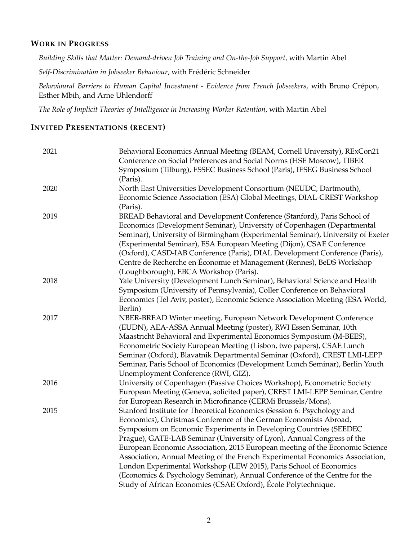#### **WORK IN PROGRESS**

*Building Skills that Matter: Demand-driven Job Training and On-the-Job Support,* with Martin Abel

*Self-Discrimination in Jobseeker Behaviour*, with Frédéric Schneider

*Behavioural Barriers to Human Capital Investment - Evidence from French Jobseekers*, with Bruno Crépon, Esther Mbih, and Arne Uhlendorff

*The Role of Implicit Theories of Intelligence in Increasing Worker Retention,* with Martin Abel

# **INVITED PRESENTATIONS (RECENT)**

| 2021 | Behavioral Economics Annual Meeting (BEAM, Cornell University), RExCon21<br>Conference on Social Preferences and Social Norms (HSE Moscow), TIBER<br>Symposium (Tilburg), ESSEC Business School (Paris), IESEG Business School<br>(Paris).                                                                                                                                                                                                                                                                                                                                                                                                                                        |
|------|-----------------------------------------------------------------------------------------------------------------------------------------------------------------------------------------------------------------------------------------------------------------------------------------------------------------------------------------------------------------------------------------------------------------------------------------------------------------------------------------------------------------------------------------------------------------------------------------------------------------------------------------------------------------------------------|
| 2020 | North East Universities Development Consortium (NEUDC, Dartmouth),<br>Economic Science Association (ESA) Global Meetings, DIAL-CREST Workshop<br>(Paris).                                                                                                                                                                                                                                                                                                                                                                                                                                                                                                                         |
| 2019 | BREAD Behavioral and Development Conference (Stanford), Paris School of<br>Economics (Development Seminar), University of Copenhagen (Departmental<br>Seminar), University of Birmingham (Experimental Seminar), University of Exeter<br>(Experimental Seminar), ESA European Meeting (Dijon), CSAE Conference<br>(Oxford), CASD-IAB Conference (Paris), DIAL Development Conference (Paris),<br>Centre de Recherche en Économie et Management (Rennes), BeDS Workshop<br>(Loughborough), EBCA Workshop (Paris).                                                                                                                                                                  |
| 2018 | Yale University (Development Lunch Seminar), Behavioral Science and Health<br>Symposium (University of Pennsylvania), Coller Conference on Behavioral<br>Economics (Tel Aviv, poster), Economic Science Association Meeting (ESA World,<br>Berlin)                                                                                                                                                                                                                                                                                                                                                                                                                                |
| 2017 | NBER-BREAD Winter meeting, European Network Development Conference<br>(EUDN), AEA-ASSA Annual Meeting (poster), RWI Essen Seminar, 10th<br>Maastricht Behavioral and Experimental Economics Symposium (M-BEES),<br>Econometric Society European Meeting (Lisbon, two papers), CSAE Lunch<br>Seminar (Oxford), Blavatnik Departmental Seminar (Oxford), CREST LMI-LEPP<br>Seminar, Paris School of Economics (Development Lunch Seminar), Berlin Youth<br>Unemployment Conference (RWI, GIZ).                                                                                                                                                                                      |
| 2016 | University of Copenhagen (Passive Choices Workshop), Econometric Society<br>European Meeting (Geneva, solicited paper), CREST LMI-LEPP Seminar, Centre<br>for European Research in Microfinance (CERMi Brussels/Mons).                                                                                                                                                                                                                                                                                                                                                                                                                                                            |
| 2015 | Stanford Institute for Theoretical Economics (Session 6: Psychology and<br>Economics), Christmas Conference of the German Economists Abroad,<br>Symposium on Economic Experiments in Developing Countries (SEEDEC<br>Prague), GATE-LAB Seminar (University of Lyon), Annual Congress of the<br>European Economic Association, 2015 European meeting of the Economic Science<br>Association, Annual Meeting of the French Experimental Economics Association,<br>London Experimental Workshop (LEW 2015), Paris School of Economics<br>(Economics & Psychology Seminar), Annual Conference of the Centre for the<br>Study of African Economies (CSAE Oxford), École Polytechnique. |